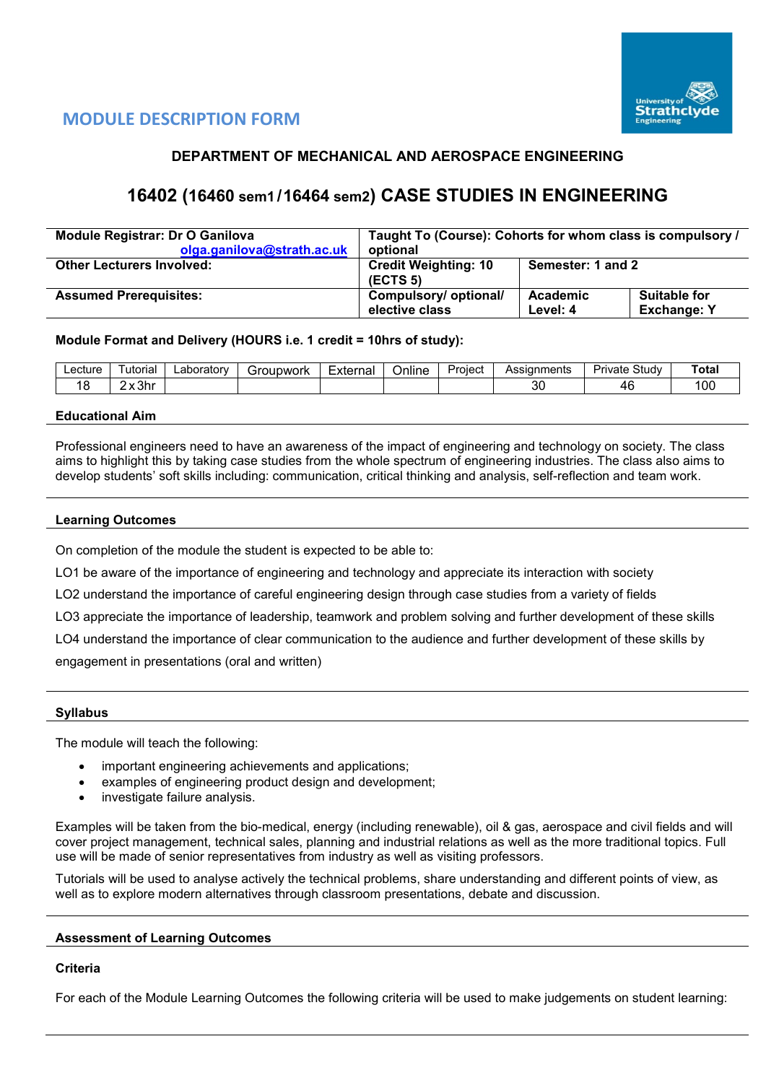

# **MODULE DESCRIPTION FORM**

# **DEPARTMENT OF MECHANICAL AND AEROSPACE ENGINEERING**

# **16402 (16460 sem1 /16464 sem2) CASE STUDIES IN ENGINEERING**

| <b>Module Registrar: Dr O Ganilova</b> | Taught To (Course): Cohorts for whom class is compulsory / |                   |                     |  |  |  |
|----------------------------------------|------------------------------------------------------------|-------------------|---------------------|--|--|--|
| olga.ganilova@strath.ac.uk             | optional                                                   |                   |                     |  |  |  |
| <b>Other Lecturers Involved:</b>       | <b>Credit Weighting: 10</b><br><b>(ECTS 5)</b>             | Semester: 1 and 2 |                     |  |  |  |
| <b>Assumed Prerequisites:</b>          | Compulsory/ optional/                                      | Academic          | <b>Suitable for</b> |  |  |  |
|                                        | elective class                                             | Level: 4          | <b>Exchange: Y</b>  |  |  |  |

#### **Module Format and Delivery (HOURS i.e. 1 credit = 10hrs of study):**

| _ecture | utorial | ∟aborator | วนpwork<br>$\sim$<br>эľ | ∠xterna⊩ | Online | -<br>Proiect | Assignments | -<br>$\sim$<br>study<br>Private | ota <sup>-</sup> |
|---------|---------|-----------|-------------------------|----------|--------|--------------|-------------|---------------------------------|------------------|
| 4 C     | 3hr     |           |                         |          |        |              | 30          | 4F                              | 100              |

#### **Educational Aim**

Professional engineers need to have an awareness of the impact of engineering and technology on society. The class aims to highlight this by taking case studies from the whole spectrum of engineering industries. The class also aims to develop students' soft skills including: communication, critical thinking and analysis, self-reflection and team work.

#### **Learning Outcomes**

On completion of the module the student is expected to be able to:

LO1 be aware of the importance of engineering and technology and appreciate its interaction with society

LO2 understand the importance of careful engineering design through case studies from a variety of fields

LO3 appreciate the importance of leadership, teamwork and problem solving and further development of these skills

LO4 understand the importance of clear communication to the audience and further development of these skills by

engagement in presentations (oral and written)

#### **Syllabus**

The module will teach the following:

- important engineering achievements and applications;
- examples of engineering product design and development;
- investigate failure analysis.

Examples will be taken from the bio-medical, energy (including renewable), oil & gas, aerospace and civil fields and will cover project management, technical sales, planning and industrial relations as well as the more traditional topics. Full use will be made of senior representatives from industry as well as visiting professors.

Tutorials will be used to analyse actively the technical problems, share understanding and different points of view, as well as to explore modern alternatives through classroom presentations, debate and discussion.

#### **Assessment of Learning Outcomes**

## **Criteria**

For each of the Module Learning Outcomes the following criteria will be used to make judgements on student learning: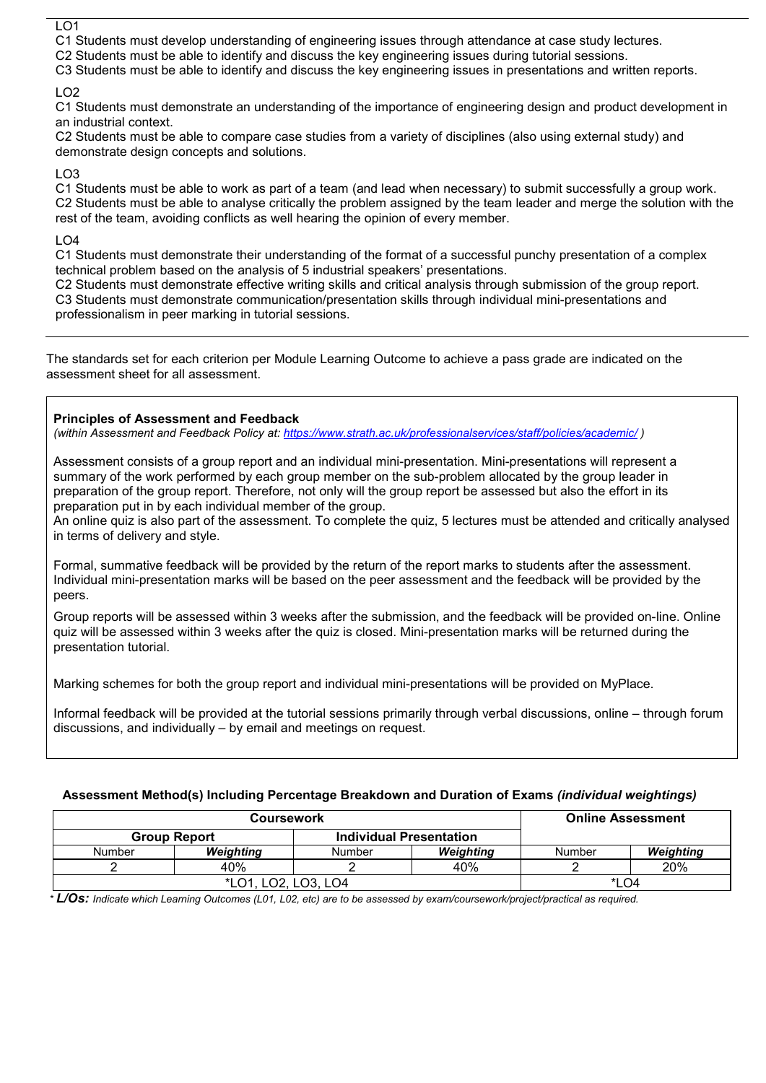## LO1

C1 Students must develop understanding of engineering issues through attendance at case study lectures.

- C2 Students must be able to identify and discuss the key engineering issues during tutorial sessions.
- C3 Students must be able to identify and discuss the key engineering issues in presentations and written reports.

## LO2

C1 Students must demonstrate an understanding of the importance of engineering design and product development in an industrial context.

C2 Students must be able to compare case studies from a variety of disciplines (also using external study) and demonstrate design concepts and solutions.

#### LO3

C1 Students must be able to work as part of a team (and lead when necessary) to submit successfully a group work. C2 Students must be able to analyse critically the problem assigned by the team leader and merge the solution with the rest of the team, avoiding conflicts as well hearing the opinion of every member.

#### LO4

C1 Students must demonstrate their understanding of the format of a successful punchy presentation of a complex technical problem based on the analysis of 5 industrial speakers' presentations.

C2 Students must demonstrate effective writing skills and critical analysis through submission of the group report. C3 Students must demonstrate communication/presentation skills through individual mini-presentations and professionalism in peer marking in tutorial sessions.

The standards set for each criterion per Module Learning Outcome to achieve a pass grade are indicated on the assessment sheet for all assessment.

## **Principles of Assessment and Feedback**

*(within Assessment and Feedback Policy at:<https://www.strath.ac.uk/professionalservices/staff/policies/academic/> )*

Assessment consists of a group report and an individual mini-presentation. Mini-presentations will represent a summary of the work performed by each group member on the sub-problem allocated by the group leader in preparation of the group report. Therefore, not only will the group report be assessed but also the effort in its preparation put in by each individual member of the group.

An online quiz is also part of the assessment. To complete the quiz, 5 lectures must be attended and critically analysed in terms of delivery and style.

Formal, summative feedback will be provided by the return of the report marks to students after the assessment. Individual mini-presentation marks will be based on the peer assessment and the feedback will be provided by the peers.

Group reports will be assessed within 3 weeks after the submission, and the feedback will be provided on-line. Online quiz will be assessed within 3 weeks after the quiz is closed. Mini-presentation marks will be returned during the presentation tutorial.

Marking schemes for both the group report and individual mini-presentations will be provided on MyPlace.

Informal feedback will be provided at the tutorial sessions primarily through verbal discussions, online – through forum discussions, and individually – by email and meetings on request.

#### **Assessment Method(s) Including Percentage Breakdown and Duration of Exams** *(individual weightings)*

|        | Coursework          | <b>Online Assessment</b> |                                |        |           |  |
|--------|---------------------|--------------------------|--------------------------------|--------|-----------|--|
|        | <b>Group Report</b> |                          | <b>Individual Presentation</b> |        |           |  |
| Number | Weighting           | Number                   | Weighting                      | Number | Weighting |  |
|        | 40%                 |                          | 40%                            |        | 20%       |  |
|        | *LO1, LO2, LO3, LO4 | *I O4                    |                                |        |           |  |

*\* L/Os: Indicate which Learning Outcomes (L01, L02, etc) are to be assessed by exam/coursework/project/practical as required.*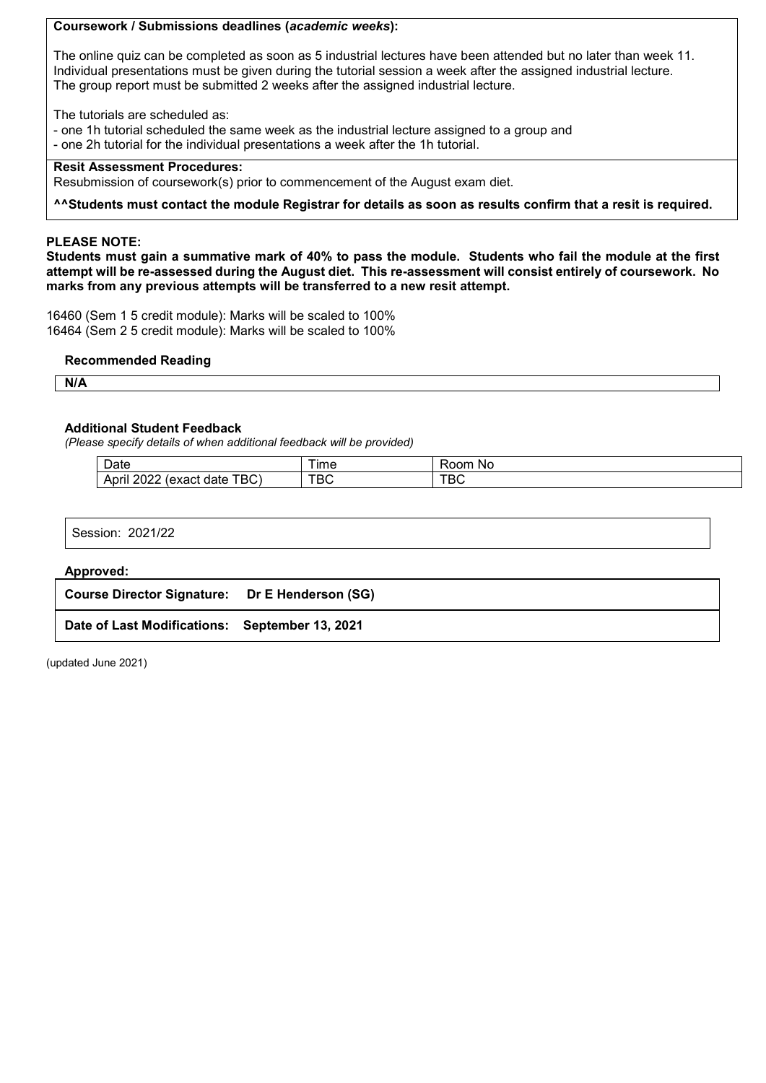## **Coursework / Submissions deadlines (***academic weeks***):**

The online quiz can be completed as soon as 5 industrial lectures have been attended but no later than week 11. Individual presentations must be given during the tutorial session a week after the assigned industrial lecture. The group report must be submitted 2 weeks after the assigned industrial lecture.

The tutorials are scheduled as:

- one 1h tutorial scheduled the same week as the industrial lecture assigned to a group and

- one 2h tutorial for the individual presentations a week after the 1h tutorial.

# **Resit Assessment Procedures:**

Resubmission of coursework(s) prior to commencement of the August exam diet.

**^^Students must contact the module Registrar for details as soon as results confirm that a resit is required.**

#### **PLEASE NOTE:**

**Students must gain a summative mark of 40% to pass the module. Students who fail the module at the first attempt will be re-assessed during the August diet. This re-assessment will consist entirely of coursework. No marks from any previous attempts will be transferred to a new resit attempt.**

16460 (Sem 1 5 credit module): Marks will be scaled to 100% 16464 (Sem 2 5 credit module): Marks will be scaled to 100%

#### **Recommended Reading**

**N/A**

#### **Additional Student Feedback**

*(Please specify details of when additional feedback will be provided)*

| Date                                           | $\overline{\phantom{0}}$<br>ıme | om<br>No  |
|------------------------------------------------|---------------------------------|-----------|
| твс<br>nnnn.<br>Apri<br>date<br>rexact<br>ZUZZ | TDC<br>טס                       | TDC<br>טס |

| 2024/22<br>∠∪<br>174Z<br>ונור |  |
|-------------------------------|--|
|                               |  |

# **Approved: Course Director Signature: Dr E Henderson (SG) Date of Last Modifications: September 13, 2021**

(updated June 2021)